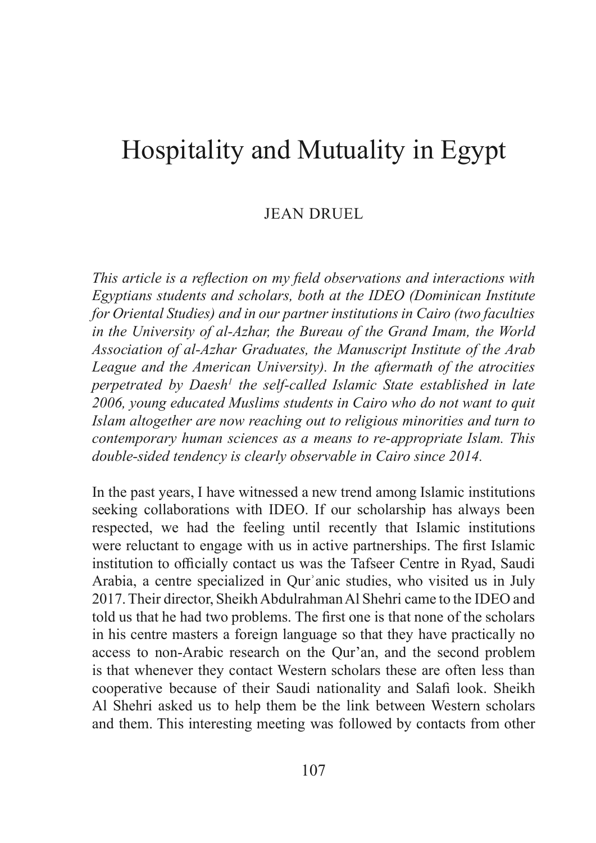# Hospitality and Mutuality in Egypt

## JEAN DRUEL

This article is a reflection on my field observations and interactions with Egyptians students and scholars, both at the IDEO (Dominican Institute for Oriental Studies) and in our partner institutions in Cairo (two faculties in the University of al-Azhar, the Bureau of the Grand Imam, the World Association of al-Azhar Graduates, the Manuscript Institute of the Arab League and the American University). In the aftermath of the atrocities Hospitality and Mutuality in Egypt<br>
Finis article is a reflection on my field observations and interactions w<br>
Egyptians students and scholars, both at the IDEO (Dominican Instit<br>
for Oriental Studies) and in our partner i perpetrated by Daesh<sup>1</sup> the self-called Islamic State established in late  $2006$ , young educated Muslims students in Cairo who do not want to quit Islam altogether are now reaching out to religious minorities and turn to contemporary human sciences as a means to re-appropriate Islam. This double-sided tendency is clearly observable in Cairo since 2014.

In the past years, I have witnessed a new trend among Islamic institutions seeking collaborations with IDEO. If our scholarship has always been respected, we had the feeling until recently that Islamic institutions were reluctant to engage with us in active partnerships. The first Islamic institution to officially contact us was the Tafseer Centre in Ryad, Saudi Arabia, a centre specialized in Qurʾanic studies, who visited us in July 2017. Their director, Sheikh Abdulrahman Al Shehri came to the IDEO and told us that he had two problems. The first one is that none of the scholars in his centre masters a foreign language so that they have practically no access to non-Arabic research on the Qur'an, and the second problem is that whenever they contact Western scholars these are often less than cooperative because of their Saudi nationality and Salafi look. Sheikh Al Shehri asked us to help them be the link between Western scholars and them. This interesting meeting was followed by contacts from other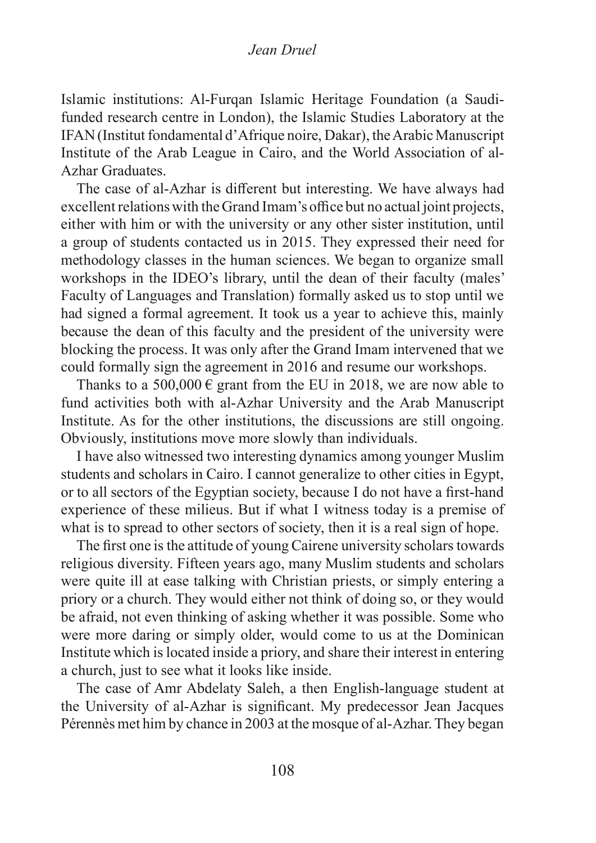#### Jean Druel

Islamic institutions: Al-Furqan Islamic Heritage Foundation (a Saudifunded research centre in London), the Islamic Studies Laboratory at the IFAN(Institut fondamental d'Afrique noire, Dakar), theArabicManuscript Institute of the Arab League in Cairo, and the World Association of al-Azhar Graduates.

The case of al-Azhar is different but interesting. We have always had excellent relations with the Grand Imam's office but no actual joint projects, either with him or with the university or any other sister institution, until a group of students contacted us in 2015. They expressed their need for methodology classes in the human sciences. We began to organize small workshops in the IDEO's library, until the dean of their faculty (males' Faculty of Languages and Translation) formally asked us to stop until we had signed a formal agreement. It took us a year to achieve this, mainly because the dean of this faculty and the president of the university were blocking the process. It was only after the Grand Imam intervened that we could formally sign the agreement in 2016 and resume our workshops.

Thanks to a 500,000  $\epsilon$  grant from the EU in 2018, we are now able to fund activities both with al-Azhar University and the Arab Manuscript Institute. As for the other institutions, the discussions are still ongoing. Obviously, institutions move more slowly than individuals.

I have also witnessed two interesting dynamics among younger Muslim students and scholars in Cairo. I cannot generalize to other cities in Egypt, or to all sectors of the Egyptian society, because I do not have a first-hand experience of these milieus. But if what I witness today is a premise of what is to spread to other sectors of society, then it is a real sign of hope.

The first one is the attitude of young Cairene university scholars towards religious diversity. Fifteen years ago, many Muslim students and scholars were quite ill at ease talking with Christian priests, or simply entering a priory or a church. They would either not think of doing so, or they would be afraid, not even thinking of asking whether it was possible. Some who were more daring or simply older, would come to us at the Dominican Institute which islocated inside a priory, and share their interest in entering a church, just to see what it looks like inside.

The case of Amr Abdelaty Saleh, a then English-language student at the University of al-Azhar is significant. My predecessor Jean Jacques Pérennès met him by chance in 2003 at the mosque of al-Azhar.They began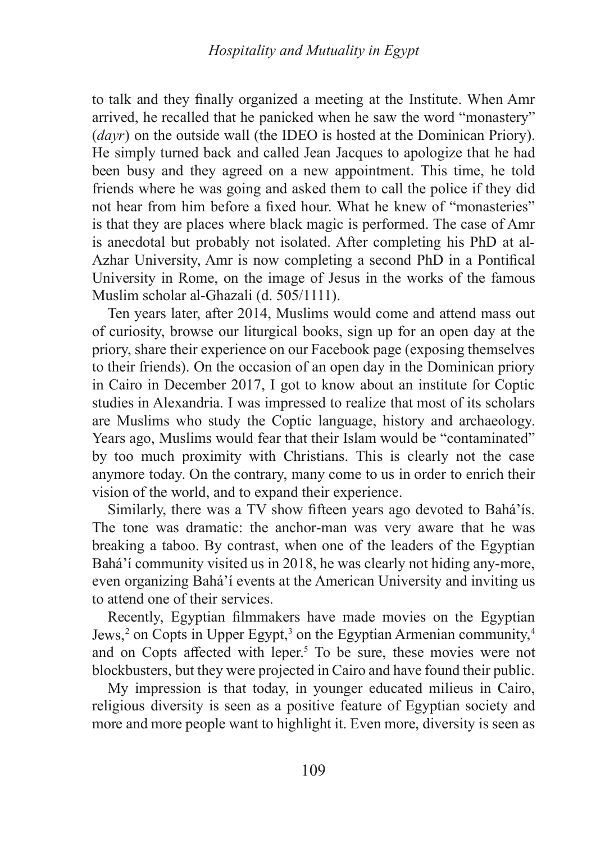to talk and they finally organized a meeting at the Institute. When Amr arrived, he recalled that he panicked when he saw the word "monastery"  $(dayr)$  on the outside wall (the IDEO is hosted at the Dominican Priory). He simply turned back and called Jean Jacques to apologize that he had been busy and they agreed on a new appointment. This time, he told friends where he was going and asked them to call the police if they did not hear from him before a fixed hour. What he knew of "monasteries" is that they are places where black magic is performed. The case of Amr is anecdotal but probably not isolated. After completing his PhD at al-Azhar University, Amr is now completing a second PhD in a Pontifical University in Rome, on the image of Jesus in the works of the famous Muslim scholar al-Ghazali (d. 505/1111).

Ten years later, after 2014, Muslims would come and attend massout of curiosity, browse our liturgical books, sign up for an open day at the priory, share their experience on our Facebook page (exposing themselves to their friends). On the occasion of an open day in the Dominican priory in Cairo in December 2017, I got to know about an institute for Coptic studies in Alexandria. I was impressed to realize that most of its scholars are Muslims who study the Coptic language, history and archaeology. Years ago, Muslims would fear that their Islam would be "contaminated" by too much proximity with Christians. This is clearly not the case anymore today. On the contrary, many come to us in order to enrich their vision of the world, and to expand their experience. The measured in the occusion of an operator and point and not commute prior<br>Cairo in December 2017, I got to know about an institute for Coptic<br>dies in Alexandria. I was impressed to realize that most of its scholars<br>? Mu

Similarly, there was a TV show fifteen years ago devoted to Bahá'ís. The tone was dramatic: the anchor-man was very aware that he was breaking a taboo. By contrast, when one of the leaders of the Egyptian Bahá'í community visited us in 2018, he was clearly not hiding any-more, even organizing Bahá'í events at the American University and inviting us to attend one of their services.

Jews,<sup>2</sup> on Copts in Upper Egypt,<sup>3</sup> on the Egyptian Armenian community,<sup>4</sup> and on Copts affected with leper.<sup>5</sup> To be sure, these movies were not blockbusters, but they were projected in Cairo and have found their public.

My impression is that today, in younger educated milieus in Cairo, religious diversity is seen as a positive feature of Egyptian society and more and more people want to highlight it. Even more, diversity is seen as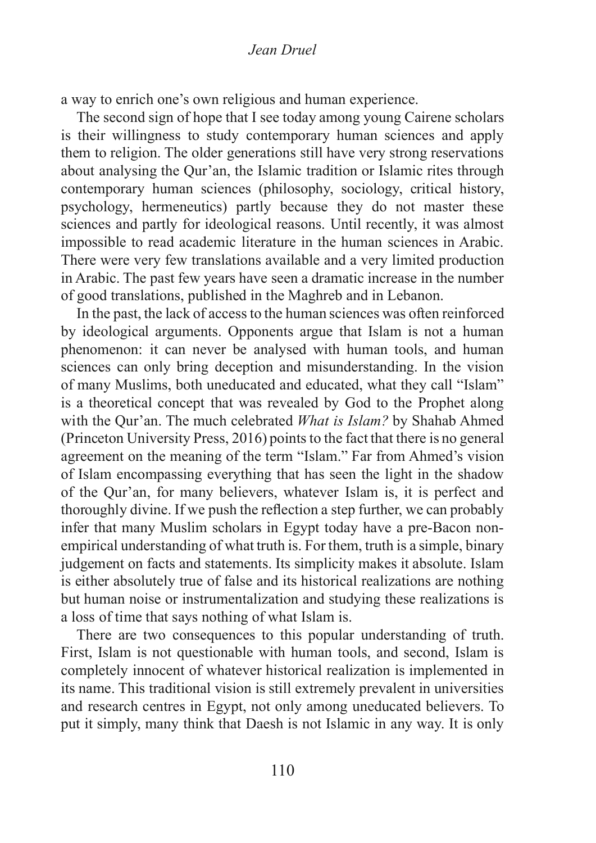#### Jean Druel

a way to enrich one's own religious and human experience.

The second sign of hope that I see today among young Cairene scholars is their willingness to study contemporary human sciences and apply them to religion. The older generations still have very strong reservations about analysing the Qur'an, the Islamic tradition or Islamic rites through contemporary human sciences (philosophy, sociology, critical history, psychology, hermeneutics) partly because they do not master these sciences and partly for ideological reasons. Until recently, it was almost impossible to read academic literature in the human sciences in Arabic. There were very few translations available and a very limited production in Arabic. The past few years have seen a dramatic increase in the number of good translations, published in the Maghreb and in Lebanon.

In the past, the lack of accessto the human sciences was often reinforced by ideological arguments. Opponents argue that Islam is not a human phenomenon: it can never be analysed with human tools, and human sciences can only bring deception and misunderstanding. In the vision of many Muslims, both uneducated and educated, what they call "Islam" is a theoretical concept that was revealed by God to the Prophet along with the Qur'an. The much celebrated What is Islam? by Shahab Ahmed (Princeton University Press, 2016) points to the fact that there is no general agreement on the meaning of the term "Islam." Far from Ahmed's vision of Islam encompassing everything that has seen the light in the shadow of the Qur'an, for many believers, whatever Islam is, it is perfect and thoroughly divine. If we push the reflection a step further, we can probably infer that many Muslim scholars in Egypt today have a pre-Bacon nonempirical understanding of what truth is. For them, truth is a simple, binary judgement on facts and statements. Its simplicity makes it absolute. Islam is either absolutely true of false and its historical realizations are nothing but human noise or instrumentalization and studying these realizations is a loss of time that says nothing of what Islam is.

There are two consequences to this popular understanding of truth. First, Islam is not questionable with human tools, and second, Islam is completely innocent of whatever historical realization is implemented in its name. This traditional vision is still extremely prevalent in universities and research centres in Egypt, not only among uneducated believers. To put it simply, many think that Daesh is not Islamic in any way. It is only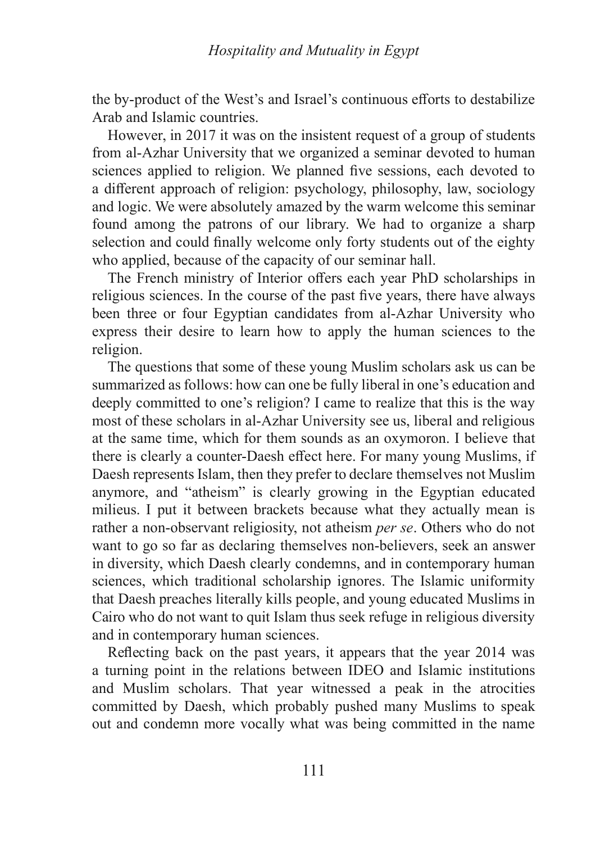the by-product of the West's and Israel's continuous efforts to destabilize Arab and Islamic countries.

However, in 2017 it was on the insistent request of a group of students from al-Azhar University that we organized a seminar devoted to human Hospitality and Mutuality in Egypt<br>the by-product of the West's and Israel's continuous efforts to destabilize<br>Arab and Islamic countries.<br>However, in 2017 it was on the insistent request of a group of students<br>from al-Azh a different approach of religion: psychology, philosophy, law, sociology and logic. We were absolutely amazed by the warm welcome this seminar found among the patrons of our library. We had to organize a sharp selection and could finally welcome only forty students out of the eighty who applied, because of the capacity of our seminar hall.

The French ministry of Interior offers each year PhD scholarships in religious sciences. In the course of the past five years, there have always been three or four Egyptian candidates from al-Azhar University who express their desire to learn how to apply the human sciences to the religion.

The questions that some of these young Muslim scholars ask us can be summarized as follows: how can one be fully liberal in one's education and deeply committed to one's religion? I came to realize that this is the way most of these scholars in al-Azhar University see us, liberal and religious at the same time, which for them sounds as an oxymoron. I believe that there is clearly a counter-Daesh effect here. For many young Muslims, if Daesh represents Islam, then they prefer to declare themselves not Muslim anymore, and "atheism" is clearly growing in the Egyptian educated milieus. I put it between brackets because what they actually mean is rather a non-observant religiosity, not atheism per se. Others who do not want to go so far as declaring themselves non-believers, seek an answer in diversity, which Daesh clearly condemns, and in contemporary human sciences, which traditional scholarship ignores. The Islamic uniformity that Daesh preaches literally kills people, and young educated Muslims in Cairo who do not want to quit Islam thus seek refuge in religious diversity and in contemporary human sciences.

Reflecting back on the past years, it appears that the year 2014 was a turning point in the relations between IDEO and Islamic institutions and Muslim scholars. That year witnessed a peak in the atrocities committed by Daesh, which probably pushed many Muslims to speak out and condemn more vocally what was being committed in the name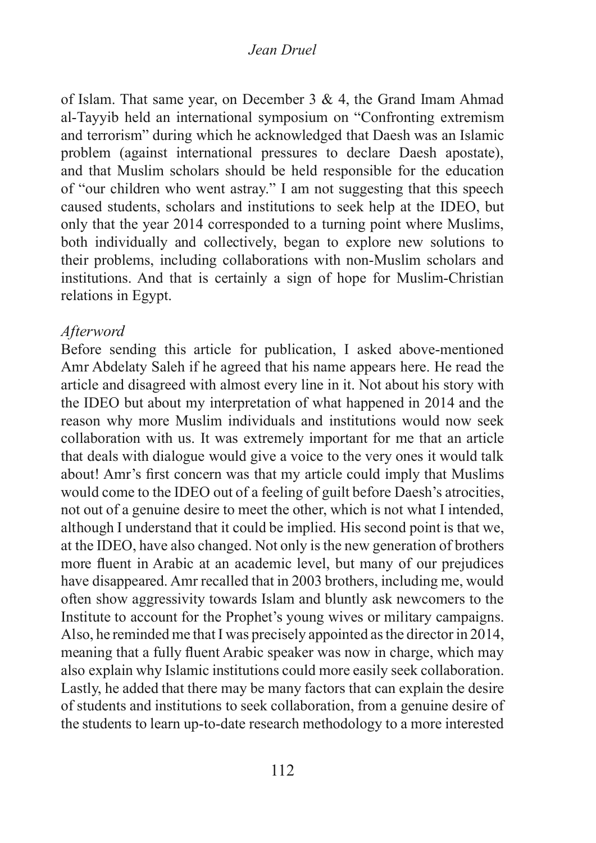### Jean Druel

of Islam. That same year, on December 3 & 4, the Grand Imam Ahmad al-Tayyib held an international symposium on "Confronting extremism and terrorism" during which heacknowledged that Daesh was an Islamic problem (against international pressures to declare Daesh apostate), and that Muslim scholars should be held responsible for the education of "our children who went astray." I am not suggesting that this speech caused students, scholars and institutions to seek help at the IDEO, but only that the year 2014 corresponded to a turning point where Muslims, both individually and collectively, began to explore new solutions to their problems, including collaborations with non-Muslim scholars and institutions. And that is certainly a sign of hope for Muslim-Christian relations in Egypt.

#### Afterword

Before sending this article for publication, I asked above-mentioned Amr Abdelaty Saleh if he agreed that his name appears here. He read the article and disagreed with almost every line in it. Not about his story with the IDEO but about my interpretation of what happened in 2014 and the reason why more Muslim individuals and institutions would now seek collaboration with us. It was extremely important for me that an article that deals with dialogue would give a voice to the very ones it would talk about! Amr's first concern was that my article could imply that Muslims would come to the IDEO out of a feeling of guilt before Daesh's atrocities, not out of a genuine desire to meet the other, which is not what I intended, although I understand that it could be implied. His second point is that we, at the IDEO, have also changed. Not only isthe new generation of brothers more fluent in Arabic at an academic level, but many of our prejudices have disappeared. Amr recalled that in 2003 brothers, including me, would often show aggressivity towards Islam and bluntly ask newcomers to the Institute to account for the Prophet's young wives or military campaigns. Also, he reminded me that I was precisely appointed as the director in 2014, meaning that a fully fluent Arabic speaker was now in charge, which may also explain why Islamic institutions could more easily seek collaboration. Lastly, he added that there may be many factors that can explain the desire of students and institutions to seek collaboration, from a genuine desire of the students to learn up-to-date research methodology to a more interested